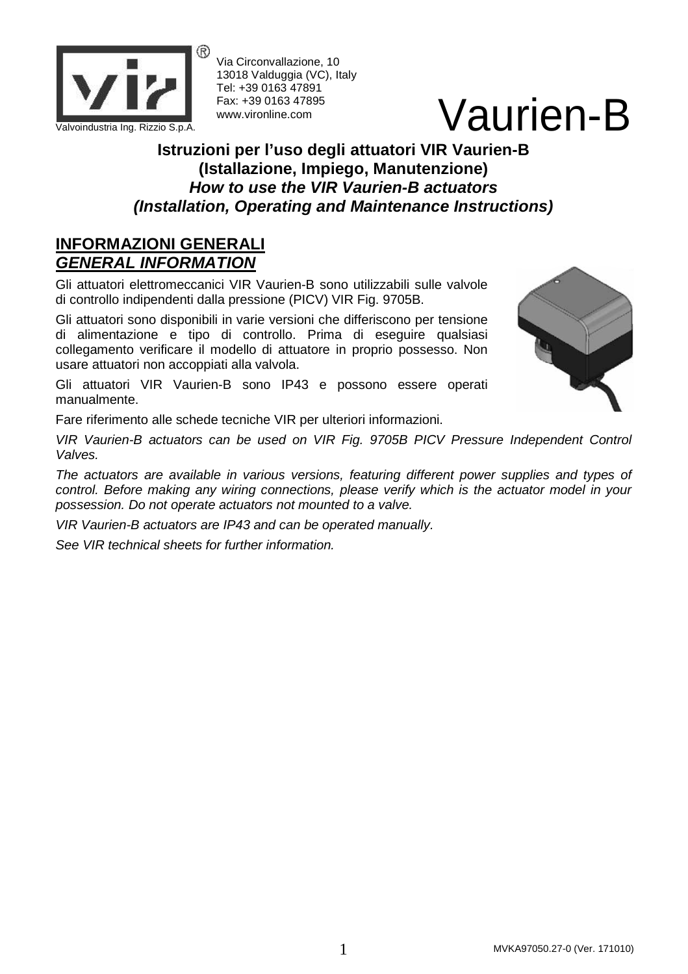

Via Circonvallazione, 10 13018 Valduggia (VC), Italy Tel: +39 0163 47891 Fax: +39 0163 47895 www.vironline.com

# Vaurien Ing. Rizzio S.p.A. Valvoindustria Ing. Rizzio S.p.A.

### **Istruzioni per l'uso degli attuatori VIR Vaurien-B (Istallazione, Impiego, Manutenzione) How to use the VIR Vaurien-B actuators (Installation, Operating and Maintenance Instructions)**

### **INFORMAZIONI GENERALI GENERAL INFORMATION**

Gli attuatori elettromeccanici VIR Vaurien-B sono utilizzabili sulle valvole di controllo indipendenti dalla pressione (PICV) VIR Fig. 9705B.

Gli attuatori sono disponibili in varie versioni che differiscono per tensione di alimentazione e tipo di controllo. Prima di eseguire qualsiasi collegamento verificare il modello di attuatore in proprio possesso. Non usare attuatori non accoppiati alla valvola.

Gli attuatori VIR Vaurien-B sono IP43 e possono essere operati manualmente.

Fare riferimento alle schede tecniche VIR per ulteriori informazioni.

VIR Vaurien-B actuators can be used on VIR Fig. 9705B PICV Pressure Independent Control Valves.

The actuators are available in various versions, featuring different power supplies and types of control. Before making any wiring connections, please verify which is the actuator model in your possession. Do not operate actuators not mounted to a valve.

VIR Vaurien-B actuators are IP43 and can be operated manually.

See VIR technical sheets for further information.

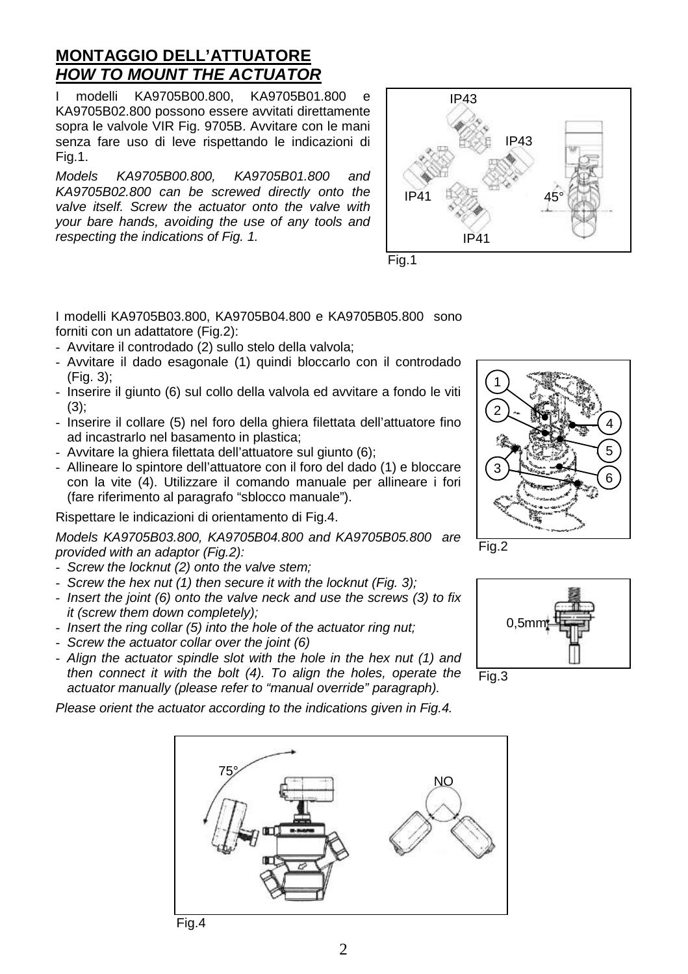## **MONTAGGIO DELL'ATTUATORE HOW TO MOUNT THE ACTUATOR**

modelli KA9705B00.800, KA9705B01.800 e KA9705B02.800 possono essere avvitati direttamente sopra le valvole VIR Fig. 9705B. Avvitare con le mani senza fare uso di leve rispettando le indicazioni di Fig.1.

Models KA9705B00.800, KA9705B01.800 and KA9705B02.800 can be screwed directly onto the valve itself. Screw the actuator onto the valve with your bare hands, avoiding the use of any tools and respecting the indications of Fig. 1.





I modelli KA9705B03.800, KA9705B04.800 e KA9705B05.800 sono forniti con un adattatore (Fig.2):

- Avvitare il controdado (2) sullo stelo della valvola;
- Avvitare il dado esagonale (1) quindi bloccarlo con il controdado (Fig. 3);
- Inserire il giunto (6) sul collo della valvola ed avvitare a fondo le viti (3);
- Inserire il collare (5) nel foro della ghiera filettata dell'attuatore fino ad incastrarlo nel basamento in plastica;
- Avvitare la ghiera filettata dell'attuatore sul giunto (6);
- Allineare lo spintore dell'attuatore con il foro del dado (1) e bloccare con la vite (4). Utilizzare il comando manuale per allineare i fori (fare riferimento al paragrafo "sblocco manuale").

Rispettare le indicazioni di orientamento di Fig.4.

Models KA9705B03.800, KA9705B04.800 and KA9705B05.800 are provided with an adaptor (Fig.2):

- Screw the locknut (2) onto the valve stem;
- Screw the hex nut (1) then secure it with the locknut (Fig. 3);
- Insert the joint (6) onto the valve neck and use the screws (3) to fix it (screw them down completely);
- Insert the ring collar (5) into the hole of the actuator ring nut;
- Screw the actuator collar over the joint (6)
- Align the actuator spindle slot with the hole in the hex nut (1) and then connect it with the bolt (4). To align the holes, operate the actuator manually (please refer to "manual override" paragraph).

Please orient the actuator according to the indications given in Fig.4.







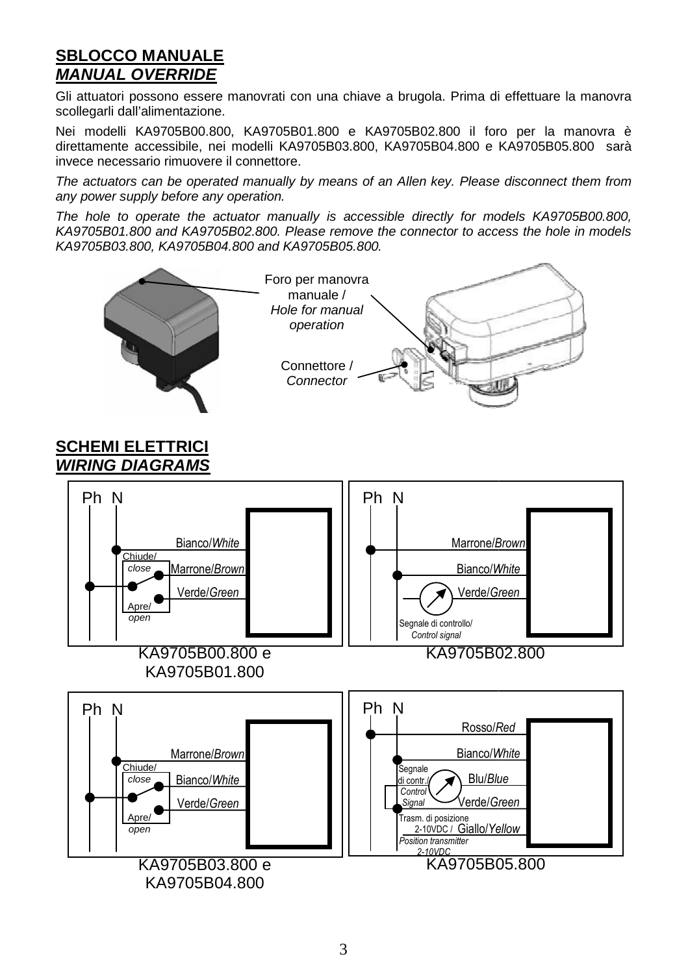### **SBLOCCO MANUALE MANUAL OVERRIDE**

Gli attuatori possono essere manovrati con una chiave a brugola. Prima di effettuare la manovra scollegarli dall'alimentazione.

Nei modelli KA9705B00.800, KA9705B01.800 e KA9705B02.800 il foro per la manovra è direttamente accessibile, nei modelli KA9705B03.800, KA9705B04.800 e KA9705B05.800 sarà invece necessario rimuovere il connettore.

The actuators can be operated manually by means of an Allen key. Please disconnect them from any power supply before any operation.

The hole to operate the actuator manually is accessible directly for models KA9705B00.800, KA9705B01.800 and KA9705B02.800. Please remove the connector to access the hole in models KA9705B03.800, KA9705B04.800 and KA9705B05.800.